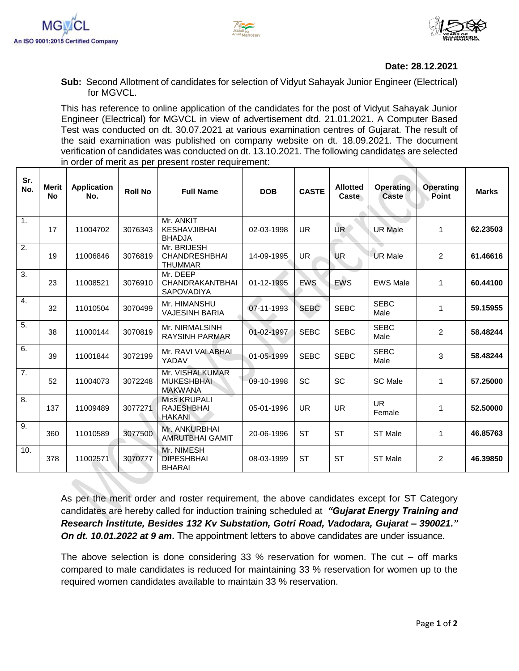



## **Date: 28.12.2021**

**Sub:** Second Allotment of candidates for selection of Vidyut Sahayak Junior Engineer (Electrical) for MGVCL.

This has reference to online application of the candidates for the post of Vidyut Sahayak Junior Engineer (Electrical) for MGVCL in view of advertisement dtd. 21.01.2021. A Computer Based Test was conducted on dt. 30.07.2021 at various examination centres of Gujarat. The result of the said examination was published on company website on dt. 18.09.2021. The document verification of candidates was conducted on dt. 13.10.2021. The following candidates are selected in order of merit as per present roster requirement:

| Sr.<br>No.       | <b>Merit</b><br><b>No</b> | <b>Application</b><br>No. | <b>Roll No</b> | <b>Full Name</b>                                        | <b>DOB</b>   | <b>CASTE</b> | <b>Allotted</b><br>Caste | <b>Operating</b><br><b>Caste</b> | <b>Operating</b><br>Point | <b>Marks</b> |
|------------------|---------------------------|---------------------------|----------------|---------------------------------------------------------|--------------|--------------|--------------------------|----------------------------------|---------------------------|--------------|
| 1.               | 17                        | 11004702                  | 3076343        | Mr. ANKIT<br>KESHAVJIBHAI<br><b>BHADJA</b>              | 02-03-1998   | <b>UR</b>    | UR <sup></sup>           | <b>UR Male</b>                   | 1                         | 62.23503     |
| 2.               | 19                        | 11006846                  | 3076819        | Mr. BRIJESH<br><b>CHANDRESHBHAI</b><br><b>THUMMAR</b>   | 14-09-1995   | <b>UR</b>    | <b>UR</b>                | <b>UR Male</b>                   | $\overline{2}$            | 61.46616     |
| 3.               | 23                        | 11008521                  | 3076910        | Mr. DEEP<br><b>CHANDRAKANTBHAI</b><br><b>SAPOVADIYA</b> | 01-12-1995   | <b>EWS</b>   | <b>EWS</b>               | <b>EWS Male</b>                  | $\mathbf{1}$              | 60.44100     |
| 4.               | 32                        | 11010504                  | 3070499        | Mr. HIMANSHU<br><b>VAJESINH BARIA</b>                   | $07-11-1993$ | <b>SEBC</b>  | <b>SEBC</b>              | <b>SEBC</b><br>Male              | 1                         | 59.15955     |
| $\overline{5}$ . | 38                        | 11000144                  | 3070819        | Mr. NIRMALSINH<br><b>RAYSINH PARMAR</b>                 | 01-02-1997   | <b>SEBC</b>  | <b>SEBC</b>              | <b>SEBC</b><br>Male              | $\overline{2}$            | 58.48244     |
| 6.               | 39                        | 11001844                  | 3072199        | Mr. RAVI VALABHAL<br>YADAV                              | 01-05-1999   | <b>SEBC</b>  | <b>SEBC</b>              | <b>SEBC</b><br>Male              | 3                         | 58.48244     |
| $\overline{7}$ . | 52                        | 11004073                  | 3072248        | Mr. VISHALKUMAR<br><b>MUKESHBHAI</b><br><b>MAKWANA</b>  | 09-10-1998   | <b>SC</b>    | SC                       | SC Male                          | 1                         | 57.25000     |
| 8.               | 137                       | 11009489                  | 3077271        | <b>Miss KRUPALI</b><br><b>RAJESHBHAL</b><br>HAKANI      | 05-01-1996   | <b>UR</b>    | <b>UR</b>                | <b>UR</b><br>Female              | 1                         | 52.50000     |
| 9.               | 360                       | 11010589                  | 3077500        | Mr. ANKURBHAI<br>AMRUTBHAI GAMIT                        | 20-06-1996   | <b>ST</b>    | <b>ST</b>                | ST Male                          | 1                         | 46.85763     |
| 10.              | 378                       | 11002571                  | 3070777        | Mr. NIMESH<br><b>DIPESHBHAI</b><br><b>BHARAI</b>        | 08-03-1999   | <b>ST</b>    | <b>ST</b>                | ST Male                          | $\overline{2}$            | 46.39850     |

As per the merit order and roster requirement, the above candidates except for ST Category candidates are hereby called for induction training scheduled at*"Gujarat Energy Training and Research Institute, Besides 132 Kv Substation, Gotri Road, Vadodara, Gujarat – 390021." On dt. 10.01.2022 at 9 am***.** The appointment letters to above candidates are under issuance.

The above selection is done considering 33  $%$  reservation for women. The cut – off marks compared to male candidates is reduced for maintaining 33 % reservation for women up to the required women candidates available to maintain 33 % reservation.